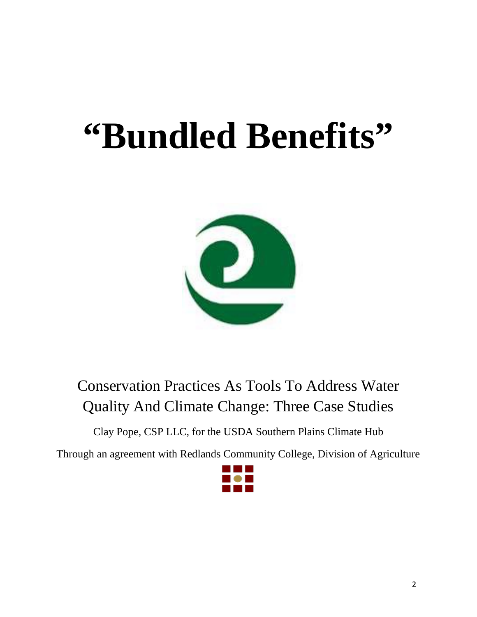# **"Bundled Benefits"**



Conservation Practices As Tools To Address Water Quality And Climate Change: Three Case Studies

Clay Pope, CSP LLC, for the USDA Southern Plains Climate Hub

Through an agreement with Redlands Community College, Division of Agriculture

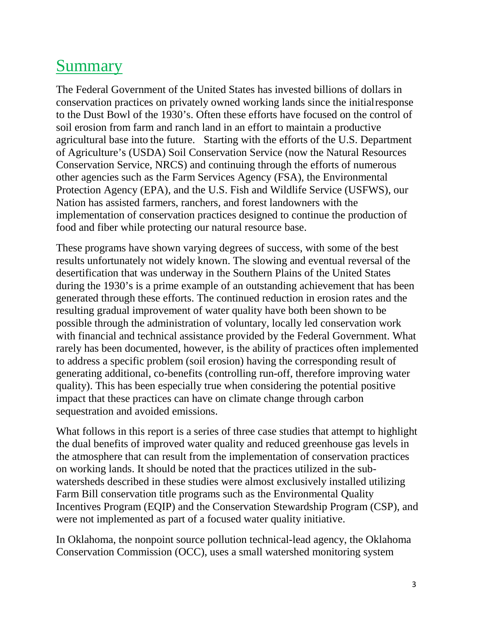# **Summary**

The Federal Government of the United States has invested billions of dollars in conservation practices on privately owned working lands since the initialresponse to the Dust Bowl of the 1930's. Often these efforts have focused on the control of soil erosion from farm and ranch land in an effort to maintain a productive agricultural base into the future. Starting with the efforts of the U.S. Department of Agriculture's (USDA) Soil Conservation Service (now the Natural Resources Conservation Service, NRCS) and continuing through the efforts of numerous other agencies such as the Farm Services Agency (FSA), the Environmental Protection Agency (EPA), and the U.S. Fish and Wildlife Service (USFWS), our Nation has assisted farmers, ranchers, and forest landowners with the implementation of conservation practices designed to continue the production of food and fiber while protecting our natural resource base.

These programs have shown varying degrees of success, with some of the best results unfortunately not widely known. The slowing and eventual reversal of the desertification that was underway in the Southern Plains of the United States during the 1930's is a prime example of an outstanding achievement that has been generated through these efforts. The continued reduction in erosion rates and the resulting gradual improvement of water quality have both been shown to be possible through the administration of voluntary, locally led conservation work with financial and technical assistance provided by the Federal Government. What rarely has been documented, however, is the ability of practices often implemented to address a specific problem (soil erosion) having the corresponding result of generating additional, co-benefits (controlling run-off, therefore improving water quality). This has been especially true when considering the potential positive impact that these practices can have on climate change through carbon sequestration and avoided emissions.

What follows in this report is a series of three case studies that attempt to highlight the dual benefits of improved water quality and reduced greenhouse gas levels in the atmosphere that can result from the implementation of conservation practices on working lands. It should be noted that the practices utilized in the subwatersheds described in these studies were almost exclusively installed utilizing Farm Bill conservation title programs such as the Environmental Quality Incentives Program (EQIP) and the Conservation Stewardship Program (CSP), and were not implemented as part of a focused water quality initiative.

In Oklahoma, the nonpoint source pollution technical-lead agency, the Oklahoma Conservation Commission (OCC), uses a small watershed monitoring system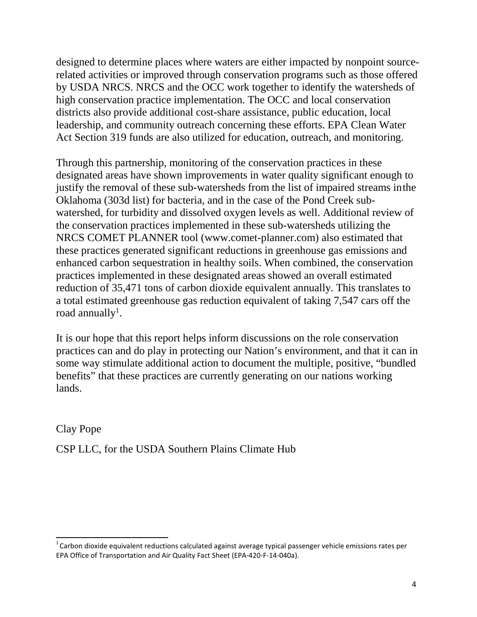designed to determine places where waters are either impacted by nonpoint sourcerelated activities or improved through conservation programs such as those offered by USDA NRCS. NRCS and the OCC work together to identify the watersheds of high conservation practice implementation. The OCC and local conservation districts also provide additional cost-share assistance, public education, local leadership, and community outreach concerning these efforts. EPA Clean Water Act Section 319 funds are also utilized for education, outreach, and monitoring.

Through this partnership, monitoring of the conservation practices in these designated areas have shown improvements in water quality significant enough to justify the removal of these sub-watersheds from the list of impaired streams inthe Oklahoma (303d list) for bacteria, and in the case of the Pond Creek subwatershed, for turbidity and dissolved oxygen levels as well. Additional review of the conservation practices implemented in these sub-watersheds utilizing the NRCS COMET PLANNER tool (www.comet-planner.com) also estimated that these practices generated significant reductions in greenhouse gas emissions and enhanced carbon sequestration in healthy soils. When combined, the conservation practices implemented in these designated areas showed an overall estimated reduction of 35,471 tons of carbon dioxide equivalent annually. This translates to a total estimated greenhouse gas reduction equivalent of taking 7,547 cars off the road annually $^{\rm l}$ .

It is our hope that this report helps inform discussions on the role conservation practices can and do play in protecting our Nation's environment, and that it can in some way stimulate additional action to document the multiple, positive, "bundled benefits" that these practices are currently generating on our nations working lands.

Clay Pope

CSP LLC, for the USDA Southern Plains Climate Hub

 $1$ Carbon dioxide equivalent reductions calculated against average typical passenger vehicle emissions rates per EPA Office of Transportation and Air Quality Fact Sheet (EPA-420-F-14-040a).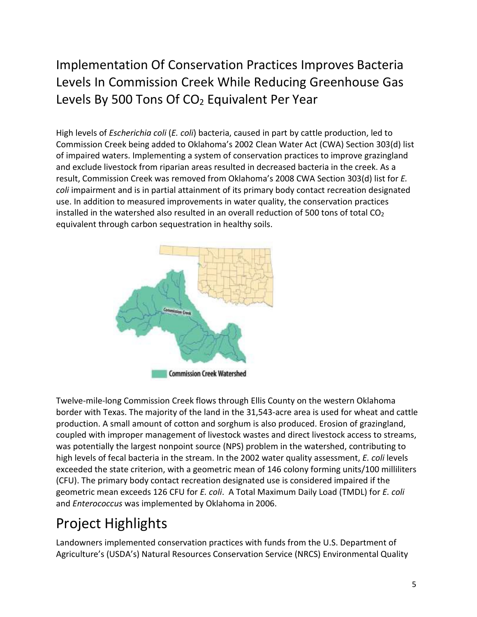#### Implementation Of Conservation Practices Improves Bacteria Levels In Commission Creek While Reducing Greenhouse Gas Levels By 500 Tons Of  $CO<sub>2</sub>$  Equivalent Per Year

High levels of *Escherichia coli* (*E. coli*) bacteria, caused in part by cattle production, led to Commission Creek being added to Oklahoma's 2002 Clean Water Act (CWA) Section 303(d) list of impaired waters. Implementing a system of conservation practices to improve grazingland and exclude livestock from riparian areas resulted in decreased bacteria in the creek. As a result, Commission Creek was removed from Oklahoma's 2008 CWA Section 303(d) list for *E. coli* impairment and is in partial attainment of its primary body contact recreation designated use. In addition to measured improvements in water quality, the conservation practices installed in the watershed also resulted in an overall reduction of 500 tons of total  $CO<sub>2</sub>$ equivalent through carbon sequestration in healthy soils.



Twelve-mile-long Commission Creek flows through Ellis County on the western Oklahoma border with Texas. The majority of the land in the 31,543-acre area is used for wheat and cattle production. A small amount of cotton and sorghum is also produced. Erosion of grazingland, coupled with improper management of livestock wastes and direct livestock access to streams, was potentially the largest nonpoint source (NPS) problem in the watershed, contributing to high levels of fecal bacteria in the stream. In the 2002 water quality assessment, *E. coli* levels exceeded the state criterion, with a geometric mean of 146 colony forming units/100 milliliters (CFU). The primary body contact recreation designated use is considered impaired if the geometric mean exceeds 126 CFU for *E. coli*. A Total Maximum Daily Load (TMDL) for *E. coli*  and *Enterococcus* was implemented by Oklahoma in 2006.

# Project Highlights

Landowners implemented conservation practices with funds from the U.S. Department of Agriculture's (USDA's) Natural Resources Conservation Service (NRCS) Environmental Quality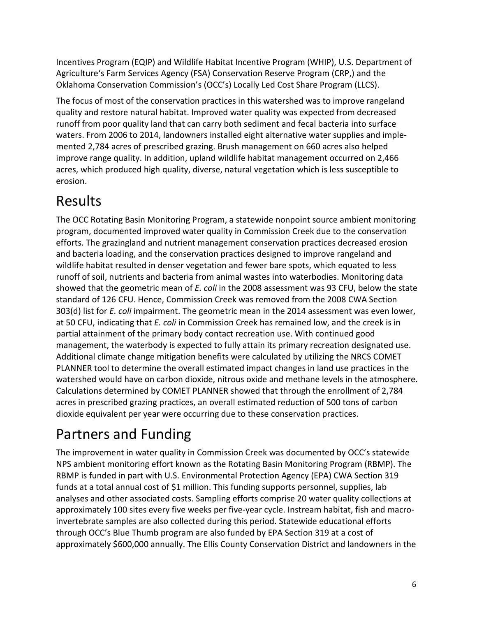Incentives Program (EQIP) and Wildlife Habitat Incentive Program (WHIP), U.S. Department of Agriculture's Farm Services Agency (FSA) Conservation Reserve Program (CRP,) and the Oklahoma Conservation Commission's (OCC's) Locally Led Cost Share Program (LLCS).

The focus of most of the conservation practices in this watershed was to improve rangeland quality and restore natural habitat. Improved water quality was expected from decreased runoff from poor quality land that can carry both sediment and fecal bacteria into surface waters. From 2006 to 2014, landowners installed eight alternative water supplies and implemented 2,784 acres of prescribed grazing. Brush management on 660 acres also helped improve range quality. In addition, upland wildlife habitat management occurred on 2,466 acres, which produced high quality, diverse, natural vegetation which is less susceptible to erosion.

## Results

The OCC Rotating Basin Monitoring Program, a statewide nonpoint source ambient monitoring program, documented improved water quality in Commission Creek due to the conservation efforts. The grazingland and nutrient management conservation practices decreased erosion and bacteria loading, and the conservation practices designed to improve rangeland and wildlife habitat resulted in denser vegetation and fewer bare spots, which equated to less runoff of soil, nutrients and bacteria from animal wastes into waterbodies. Monitoring data showed that the geometric mean of *E. coli* in the 2008 assessment was 93 CFU, below the state standard of 126 CFU. Hence, Commission Creek was removed from the 2008 CWA Section 303(d) list for *E. coli* impairment. The geometric mean in the 2014 assessment was even lower, at 50 CFU, indicating that *E. coli* in Commission Creek has remained low, and the creek is in partial attainment of the primary body contact recreation use. With continued good management, the waterbody is expected to fully attain its primary recreation designated use. Additional climate change mitigation benefits were calculated by utilizing the NRCS COMET PLANNER tool to determine the overall estimated impact changes in land use practices in the watershed would have on carbon dioxide, nitrous oxide and methane levels in the atmosphere. Calculations determined by COMET PLANNER showed that through the enrollment of 2,784 acres in prescribed grazing practices, an overall estimated reduction of 500 tons of carbon dioxide equivalent per year were occurring due to these conservation practices.

# Partners and Funding

The improvement in water quality in Commission Creek was documented by OCC's statewide NPS ambient monitoring effort known as the Rotating Basin Monitoring Program (RBMP). The RBMP is funded in part with U.S. Environmental Protection Agency (EPA) CWA Section 319 funds at a total annual cost of \$1 million. This funding supports personnel, supplies, lab analyses and other associated costs. Sampling efforts comprise 20 water quality collections at approximately 100 sites every five weeks per five-year cycle. Instream habitat, fish and macroinvertebrate samples are also collected during this period. Statewide educational efforts through OCC's Blue Thumb program are also funded by EPA Section 319 at a cost of approximately \$600,000 annually. The Ellis County Conservation District and landowners in the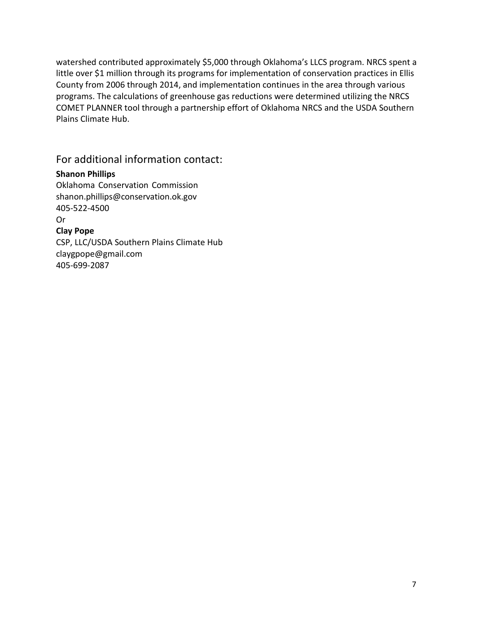watershed contributed approximately \$5,000 through Oklahoma's LLCS program. NRCS spent a little over \$1 million through its programs for implementation of conservation practices in Ellis County from 2006 through 2014, and implementation continues in the area through various programs. The calculations of greenhouse gas reductions were determined utilizing the NRCS COMET PLANNER tool through a partnership effort of Oklahoma NRCS and the USDA Southern Plains Climate Hub.

For additional information contact:

#### **Shanon Phillips**

Oklahoma Conservation Commissio[n](mailto:shanon.phillips@conservation.ok.gov) [shanon.phillips@conservation.ok.gov](mailto:shanon.phillips@conservation.ok.gov) 405-522-4500 Or

**Clay Pope**

CSP, LLC/USDA Southern Plains Climate Hu[b](mailto:claygpope@gmail.com) [claygpope@gmail.com](mailto:claygpope@gmail.com) 405-699-2087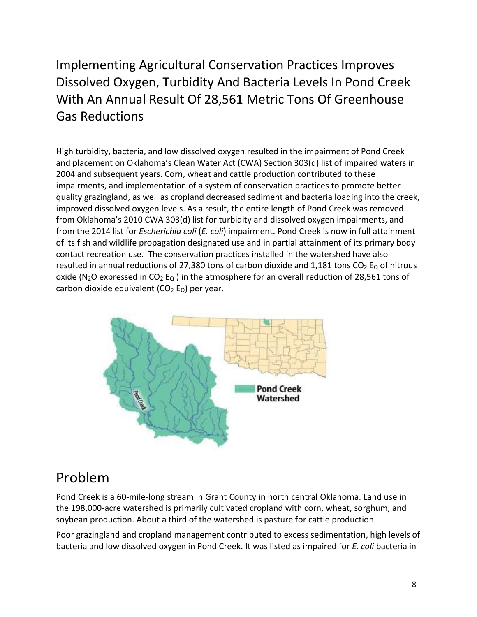#### Implementing Agricultural Conservation Practices Improves Dissolved Oxygen, Turbidity And Bacteria Levels In Pond Creek With An Annual Result Of 28,561 Metric Tons Of Greenhouse Gas Reductions

High turbidity, bacteria, and low dissolved oxygen resulted in the impairment of Pond Creek and placement on Oklahoma's Clean Water Act (CWA) Section 303(d) list of impaired waters in 2004 and subsequent years. Corn, wheat and cattle production contributed to these impairments, and implementation of a system of conservation practices to promote better quality grazingland, as well as cropland decreased sediment and bacteria loading into the creek, improved dissolved oxygen levels. As a result, the entire length of Pond Creek was removed from Oklahoma's 2010 CWA 303(d) list for turbidity and dissolved oxygen impairments, and from the 2014 list for *Escherichia coli* (*E. coli*) impairment. Pond Creek is now in full attainment of its fish and wildlife propagation designated use and in partial attainment of its primary body contact recreation use. The conservation practices installed in the watershed have also resulted in annual reductions of 27,380 tons of carbon dioxide and 1,181 tons  $CO<sub>2</sub> E<sub>Q</sub>$  of nitrous oxide (N<sub>2</sub>O expressed in CO<sub>2</sub> E<sub>Q</sub>) in the atmosphere for an overall reduction of 28,561 tons of carbon dioxide equivalent ( $CO<sub>2</sub> E<sub>Q</sub>$ ) per year.



#### Problem

Pond Creek is a 60-mile-long stream in Grant County in north central Oklahoma. Land use in the 198,000-acre watershed is primarily cultivated cropland with corn, wheat, sorghum, and soybean production. About a third of the watershed is pasture for cattle production.

Poor grazingland and cropland management contributed to excess sedimentation, high levels of bacteria and low dissolved oxygen in Pond Creek. It was listed as impaired for *E. coli* bacteria in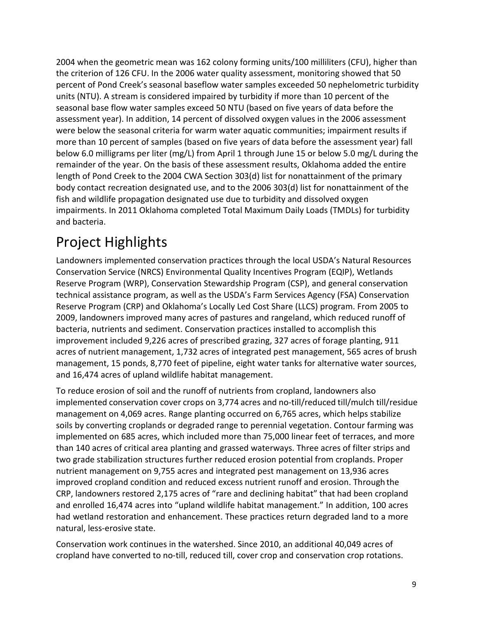2004 when the geometric mean was 162 colony forming units/100 milliliters (CFU), higher than the criterion of 126 CFU. In the 2006 water quality assessment, monitoring showed that 50 percent of Pond Creek's seasonal baseflow water samples exceeded 50 nephelometric turbidity units (NTU). A stream is considered impaired by turbidity if more than 10 percent of the seasonal base flow water samples exceed 50 NTU (based on five years of data before the assessment year). In addition, 14 percent of dissolved oxygen values in the 2006 assessment were below the seasonal criteria for warm water aquatic communities; impairment results if more than 10 percent of samples (based on five years of data before the assessment year) fall below 6.0 milligrams per liter (mg/L) from April 1 through June 15 or below 5.0 mg/L during the remainder of the year. On the basis of these assessment results, Oklahoma added the entire length of Pond Creek to the 2004 CWA Section 303(d) list for nonattainment of the primary body contact recreation designated use, and to the 2006 303(d) list for nonattainment of the fish and wildlife propagation designated use due to turbidity and dissolved oxygen impairments. In 2011 Oklahoma completed Total Maximum Daily Loads (TMDLs) for turbidity and bacteria.

## Project Highlights

Landowners implemented conservation practices through the local USDA's Natural Resources Conservation Service (NRCS) Environmental Quality Incentives Program (EQIP), Wetlands Reserve Program (WRP), Conservation Stewardship Program (CSP), and general conservation technical assistance program, as well as the USDA's Farm Services Agency (FSA) Conservation Reserve Program (CRP) and Oklahoma's Locally Led Cost Share (LLCS) program. From 2005 to 2009, landowners improved many acres of pastures and rangeland, which reduced runoff of bacteria, nutrients and sediment. Conservation practices installed to accomplish this improvement included 9,226 acres of prescribed grazing, 327 acres of forage planting, 911 acres of nutrient management, 1,732 acres of integrated pest management, 565 acres of brush management, 15 ponds, 8,770 feet of pipeline, eight water tanks for alternative water sources, and 16,474 acres of upland wildlife habitat management.

To reduce erosion of soil and the runoff of nutrients from cropland, landowners also implemented conservation cover crops on 3,774 acres and no-till/reduced till/mulch till/residue management on 4,069 acres. Range planting occurred on 6,765 acres, which helps stabilize soils by converting croplands or degraded range to perennial vegetation. Contour farming was implemented on 685 acres, which included more than 75,000 linear feet of terraces, and more than 140 acres of critical area planting and grassed waterways. Three acres of filter strips and two grade stabilization structures further reduced erosion potential from croplands. Proper nutrient management on 9,755 acres and integrated pest management on 13,936 acres improved cropland condition and reduced excess nutrient runoff and erosion. Through the CRP, landowners restored 2,175 acres of "rare and declining habitat" that had been cropland and enrolled 16,474 acres into "upland wildlife habitat management." In addition, 100 acres had wetland restoration and enhancement. These practices return degraded land to a more natural, less-erosive state.

Conservation work continues in the watershed. Since 2010, an additional 40,049 acres of cropland have converted to no-till, reduced till, cover crop and conservation crop rotations.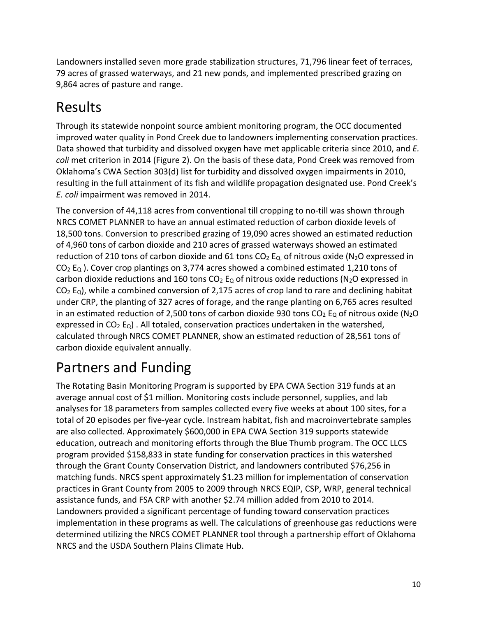Landowners installed seven more grade stabilization structures, 71,796 linear feet of terraces, 79 acres of grassed waterways, and 21 new ponds, and implemented prescribed grazing on 9,864 acres of pasture and range.

## Results

Through its statewide nonpoint source ambient monitoring program, the OCC documented improved water quality in Pond Creek due to landowners implementing conservation practices. Data showed that turbidity and dissolved oxygen have met applicable criteria since 2010, and *E. coli* met criterion in 2014 (Figure 2). On the basis of these data, Pond Creek was removed from Oklahoma's CWA Section 303(d) list for turbidity and dissolved oxygen impairments in 2010, resulting in the full attainment of its fish and wildlife propagation designated use. Pond Creek's *E. coli* impairment was removed in 2014.

The conversion of 44,118 acres from conventional till cropping to no-till was shown through NRCS COMET PLANNER to have an annual estimated reduction of carbon dioxide levels of 18,500 tons. Conversion to prescribed grazing of 19,090 acres showed an estimated reduction of 4,960 tons of carbon dioxide and 210 acres of grassed waterways showed an estimated reduction of 210 tons of carbon dioxide and 61 tons  $CO<sub>2</sub>$  E<sub>Q</sub> of nitrous oxide (N<sub>2</sub>O expressed in  $CO<sub>2</sub>$  E<sub>Q</sub>). Cover crop plantings on 3,774 acres showed a combined estimated 1,210 tons of carbon dioxide reductions and 160 tons  $CO<sub>2</sub>$  E<sub>Q</sub> of nitrous oxide reductions (N<sub>2</sub>O expressed in  $CO<sub>2</sub>$  E<sub>Q</sub>), while a combined conversion of 2,175 acres of crop land to rare and declining habitat under CRP, the planting of 327 acres of forage, and the range planting on 6,765 acres resulted in an estimated reduction of 2,500 tons of carbon dioxide 930 tons  $CO<sub>2</sub>$  E<sub>0</sub> of nitrous oxide (N<sub>2</sub>O expressed in  $CO<sub>2</sub>$  E<sub>Q</sub>). All totaled, conservation practices undertaken in the watershed, calculated through NRCS COMET PLANNER, show an estimated reduction of 28,561 tons of carbon dioxide equivalent annually.

## Partners and Funding

The Rotating Basin Monitoring Program is supported by EPA CWA Section 319 funds at an average annual cost of \$1 million. Monitoring costs include personnel, supplies, and lab analyses for 18 parameters from samples collected every five weeks at about 100 sites, for a total of 20 episodes per five-year cycle. Instream habitat, fish and macroinvertebrate samples are also collected. Approximately \$600,000 in EPA CWA Section 319 supports statewide education, outreach and monitoring efforts through the Blue Thumb program. The OCC LLCS program provided \$158,833 in state funding for conservation practices in this watershed through the Grant County Conservation District, and landowners contributed \$76,256 in matching funds. NRCS spent approximately \$1.23 million for implementation of conservation practices in Grant County from 2005 to 2009 through NRCS EQIP, CSP, WRP, general technical assistance funds, and FSA CRP with another \$2.74 million added from 2010 to 2014. Landowners provided a significant percentage of funding toward conservation practices implementation in these programs as well. The calculations of greenhouse gas reductions were determined utilizing the NRCS COMET PLANNER tool through a partnership effort of Oklahoma NRCS and the USDA Southern Plains Climate Hub.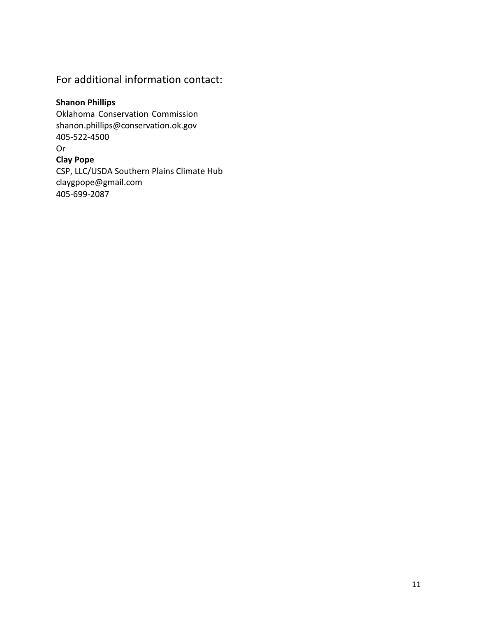#### For additional information contact:

#### **Shanon Phillips**

Oklahoma Conservation Commissio[n](mailto:shanon.phillips@conservation.ok.gov) [shanon.phillips@conservation.ok.gov](mailto:shanon.phillips@conservation.ok.gov) 405-522-4500 Or **Clay Pope** CSP, LLC/USDA Southern Plains Climate Hu[b](mailto:claygpope@gmail.com) [claygpope@gmail.com](mailto:claygpope@gmail.com) 405-699-2087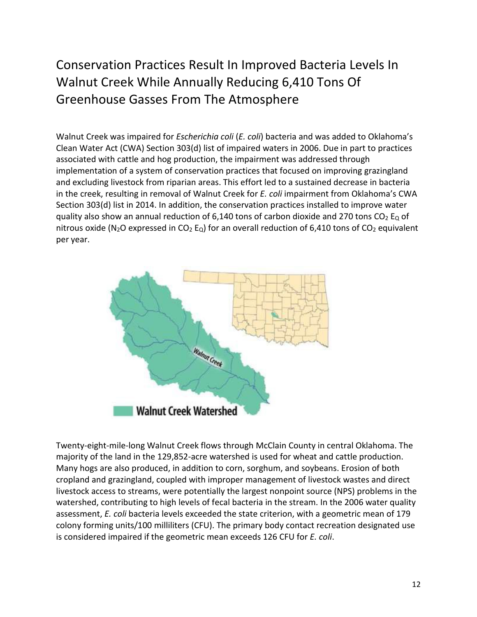#### Conservation Practices Result In Improved Bacteria Levels In Walnut Creek While Annually Reducing 6,410 Tons Of Greenhouse Gasses From The Atmosphere

Walnut Creek was impaired for *Escherichia coli* (*E. coli*) bacteria and was added to Oklahoma's Clean Water Act (CWA) Section 303(d) list of impaired waters in 2006. Due in part to practices associated with cattle and hog production, the impairment was addressed through implementation of a system of conservation practices that focused on improving grazingland and excluding livestock from riparian areas. This effort led to a sustained decrease in bacteria in the creek, resulting in removal of Walnut Creek for *E. coli* impairment from Oklahoma's CWA Section 303(d) list in 2014. In addition, the conservation practices installed to improve water quality also show an annual reduction of 6,140 tons of carbon dioxide and 270 tons  $CO<sub>2</sub>$  E<sub>Q</sub> of nitrous oxide (N<sub>2</sub>O expressed in CO<sub>2</sub> E<sub>Q</sub>) for an overall reduction of 6,410 tons of CO<sub>2</sub> equivalent per year.



Twenty-eight-mile-long Walnut Creek flows through McClain County in central Oklahoma. The majority of the land in the 129,852-acre watershed is used for wheat and cattle production. Many hogs are also produced, in addition to corn, sorghum, and soybeans. Erosion of both cropland and grazingland, coupled with improper management of livestock wastes and direct livestock access to streams, were potentially the largest nonpoint source (NPS) problems in the watershed, contributing to high levels of fecal bacteria in the stream. In the 2006 water quality assessment, *E. coli* bacteria levels exceeded the state criterion, with a geometric mean of 179 colony forming units/100 milliliters (CFU). The primary body contact recreation designated use is considered impaired if the geometric mean exceeds 126 CFU for *E. coli*.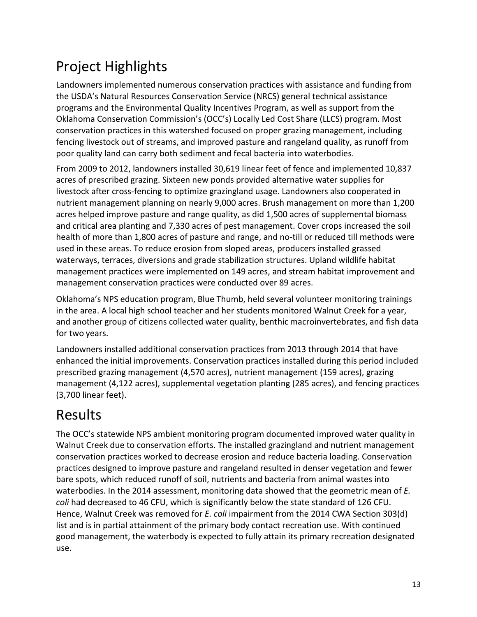# Project Highlights

Landowners implemented numerous conservation practices with assistance and funding from the USDA's Natural Resources Conservation Service (NRCS) general technical assistance programs and the Environmental Quality Incentives Program, as well as support from the Oklahoma Conservation Commission's (OCC's) Locally Led Cost Share (LLCS) program. Most conservation practices in this watershed focused on proper grazing management, including fencing livestock out of streams, and improved pasture and rangeland quality, as runoff from poor quality land can carry both sediment and fecal bacteria into waterbodies.

From 2009 to 2012, landowners installed 30,619 linear feet of fence and implemented 10,837 acres of prescribed grazing. Sixteen new ponds provided alternative water supplies for livestock after cross-fencing to optimize grazingland usage. Landowners also cooperated in nutrient management planning on nearly 9,000 acres. Brush management on more than 1,200 acres helped improve pasture and range quality, as did 1,500 acres of supplemental biomass and critical area planting and 7,330 acres of pest management. Cover crops increased the soil health of more than 1,800 acres of pasture and range, and no-till or reduced till methods were used in these areas. To reduce erosion from sloped areas, producers installed grassed waterways, terraces, diversions and grade stabilization structures. Upland wildlife habitat management practices were implemented on 149 acres, and stream habitat improvement and management conservation practices were conducted over 89 acres.

Oklahoma's NPS education program, Blue Thumb, held several volunteer monitoring trainings in the area. A local high school teacher and her students monitored Walnut Creek for a year, and another group of citizens collected water quality, benthic macroinvertebrates, and fish data for two years.

Landowners installed additional conservation practices from 2013 through 2014 that have enhanced the initial improvements. Conservation practices installed during this period included prescribed grazing management (4,570 acres), nutrient management (159 acres), grazing management (4,122 acres), supplemental vegetation planting (285 acres), and fencing practices (3,700 linear feet).

### Results

The OCC's statewide NPS ambient monitoring program documented improved water quality in Walnut Creek due to conservation efforts. The installed grazingland and nutrient management conservation practices worked to decrease erosion and reduce bacteria loading. Conservation practices designed to improve pasture and rangeland resulted in denser vegetation and fewer bare spots, which reduced runoff of soil, nutrients and bacteria from animal wastes into waterbodies. In the 2014 assessment, monitoring data showed that the geometric mean of *E. coli* had decreased to 46 CFU, which is significantly below the state standard of 126 CFU. Hence, Walnut Creek was removed for *E. coli* impairment from the 2014 CWA Section 303(d) list and is in partial attainment of the primary body contact recreation use. With continued good management, the waterbody is expected to fully attain its primary recreation designated use.